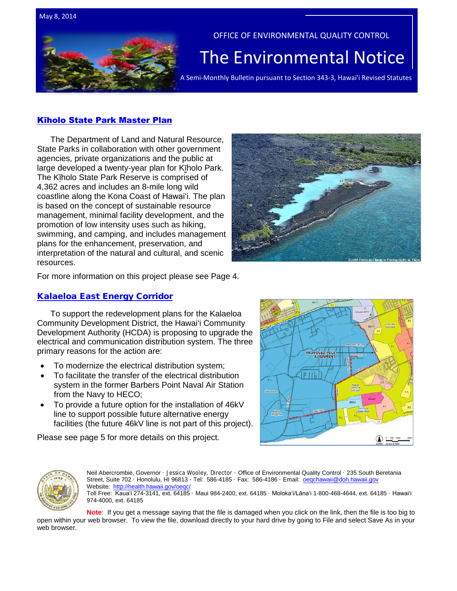



#### OFFICE OF ENVIRONMENTAL QUALITY CONTROL

# The  $\overline{\mathsf{Environmental Notice}}$   $|$

## [Kīholo State Park Master Plan](http://oeqc.doh.hawaii.gov/Shared%20Documents/EA_and_EIS_Online_Library/Hawaii/2010s/2014-05-08-HA-FEA-5B-Kiholo-State-Park-Master-Plan.pdf)

The Department of Land and Natural Resource, State Parks in collaboration with other government agencies, private organizations and the public at large developed a twenty-year plan for Kīholo Park. The Kīholo State Park Reserve is comprised of 4,362 acres and includes an 8-mile long wild coastline along the Kona Coast of Hawaiʻi. The plan is based on the concept of sustainable resource management, minimal facility development, and the promotion of low intensity uses such as hiking, swimming, and camping, and includes management plans for the enhancement, preservation, and interpretation of the natural and cultural, and scenic resources.



For more information on this project please see Page 4.

### [Kalaeloa East Energy Corridor](http://oeqc.doh.hawaii.gov/Shared%20Documents/EA_and_EIS_Online_Library/Oahu/2010s/2014-05-08-OA-DEA-5B-Kalaeloa-East-Energy-Corridor.pdf)

To support the redevelopment plans for the Kalaeloa Community Development District, the Hawai'i Community Development Authority (HCDA) is proposing to upgrade the electrical and communication distribution system. The three primary reasons for the action are:

- To modernize the electrical distribution system;
- To facilitate the transfer of the electrical distribution system in the former Barbers Point Naval Air Station from the Navy to HECO;
- To provide a future option for the installation of 46kV line to support possible future alternative energy facilities (the future 46kV line is not part of this project).

Please see page 5 for more details on this project.





Neil Abercrombie, Governor · Jessica Wooley, Director · Office of Environmental Quality Control · 235 South Beretania Street, Suite 702 · Honolulu, HI 96813 · Tel: 586-4185 · Fax: 586-4186 · Email: oegchawaii@doh.hawaii.gov Website: http://health.hawaii.gov/oegc/ Toll Free: Kauaʻi 274-3141, ext. 64185 · Maui 984-2400, ext. 64185 · Molokaʻi/Lānaʻi 1-800-468-4644, ext. 64185 · Hawaiʻi 974-4000, ext. 64185

**Note**: If you get a message saying that the file is damaged when you click on the link, then the file is too big to open within your web browser. To view the file, download directly to your hard drive by going to File and select Save As in your web browser.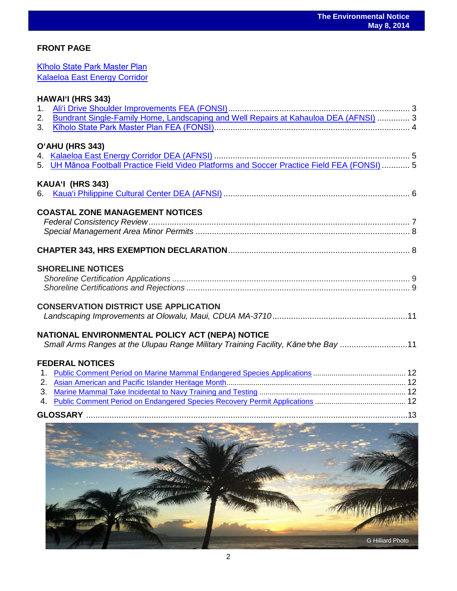## **FRONT PAGE**

[Kīholo State Park Master Plan](http://oeqc.doh.hawaii.gov/Shared%20Documents/EA_and_EIS_Online_Library/Hawaii/2010s/2014-05-08-HA-FEA-5B-Kiholo-State-Park-Master-Plan.pdf)

| <b>Kalaeloa East Energy Corridor</b>                                                                                                  |  |
|---------------------------------------------------------------------------------------------------------------------------------------|--|
| <b>HAWAI'I (HRS 343)</b>                                                                                                              |  |
| O'AHU (HRS 343)<br>5. UH Mānoa Football Practice Field Video Platforms and Soccer Practice Field FEA (FONSI)  5                       |  |
| KAUA'I (HRS 343)                                                                                                                      |  |
| <b>COASTAL ZONE MANAGEMENT NOTICES</b>                                                                                                |  |
|                                                                                                                                       |  |
| <b>SHORELINE NOTICES</b>                                                                                                              |  |
| <b>CONSERVATION DISTRICT USE APPLICATION</b>                                                                                          |  |
| NATIONAL ENVIRONMENTAL POLICY ACT (NEPA) NOTICE<br>Small Arms Ranges at the Ulupau Range Military Training Facility, Kane 'ohe Bay 11 |  |
| <b>FEDERAL NOTICES</b>                                                                                                                |  |
|                                                                                                                                       |  |

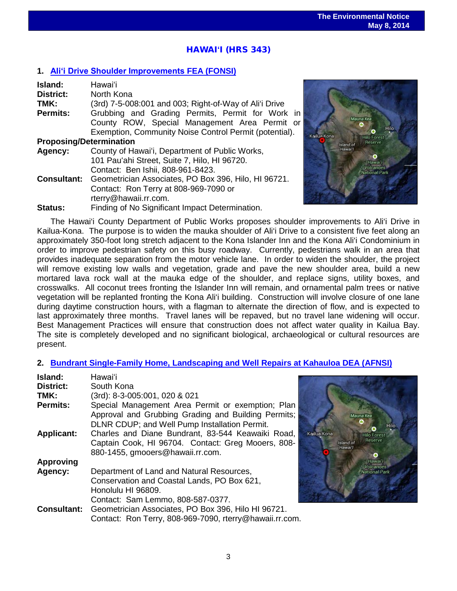## HAWAI**ʻ**I (HRS 343)

#### **1. [Aliʻi Drive Shoulder Improvements](http://oeqc.doh.hawaii.gov/Shared%20Documents/EA_and_EIS_Online_Library/Hawaii/2010s/2014-05-08-HA-FEA-5B-Alii-Drive-Shoulder-Improvements.pdf) FEA (FONSI)**

| Island:                        | Hawai'i                                                                 |  |  |
|--------------------------------|-------------------------------------------------------------------------|--|--|
| District:                      | North Kona                                                              |  |  |
| TMK:                           | (3rd) 7-5-008:001 and 003; Right-of-Way of Ali'i Drive                  |  |  |
| <b>Permits:</b>                | Grubbing and Grading Permits, Permit for Work in                        |  |  |
|                                | County ROW, Special Management Area Permit or                           |  |  |
|                                | Exemption, Community Noise Control Permit (potential).                  |  |  |
| <b>Proposing/Determination</b> |                                                                         |  |  |
| Agency:                        | County of Hawai'i, Department of Public Works,                          |  |  |
|                                | 101 Pau'ahi Street, Suite 7, Hilo, HI 96720.                            |  |  |
|                                | Contact: Ben Ishii, 808-961-8423.                                       |  |  |
|                                | <b>Consultant:</b> Geometrician Associates, PO Box 396, Hilo, HI 96721. |  |  |
|                                | Contact: Ron Terry at 808-969-7090 or                                   |  |  |
|                                | rterry@hawaii.rr.com.                                                   |  |  |
| Status:                        | Finding of No Significant Impact Determination.                         |  |  |



The Hawai'i County Department of Public Works proposes shoulder improvements to Ali'i Drive in Kailua-Kona. The purpose is to widen the mauka shoulder of Ali'i Drive to a consistent five feet along an approximately 350-foot long stretch adjacent to the Kona Islander Inn and the Kona Ali'i Condominium in order to improve pedestrian safety on this busy roadway. Currently, pedestrians walk in an area that provides inadequate separation from the motor vehicle lane. In order to widen the shoulder, the project will remove existing low walls and vegetation, grade and pave the new shoulder area, build a new mortared lava rock wall at the mauka edge of the shoulder, and replace signs, utility boxes, and crosswalks. All coconut trees fronting the Islander Inn will remain, and ornamental palm trees or native vegetation will be replanted fronting the Kona Ali'i building. Construction will involve closure of one lane during daytime construction hours, with a flagman to alternate the direction of flow, and is expected to last approximately three months. Travel lanes will be repaved, but no travel lane widening will occur. Best Management Practices will ensure that construction does not affect water quality in Kailua Bay. The site is completely developed and no significant biological, archaeological or cultural resources are present.

#### **2. [Bundrant Single-Family Home, Landscaping and Well Repairs at Kahauloa DEA \(AFNSI\)](http://oeqc.doh.hawaii.gov/Shared%20Documents/EA_and_EIS_Online_Library/Hawaii/2010s/2014-05-08-HA-DEA-5E-Bundrant-Single-Family-Home-Landscaping-Well-Repairs-at-Kahauloa.pdf)**

| Island:            | Hawai'i                                                 |             |
|--------------------|---------------------------------------------------------|-------------|
| District:          | South Kona                                              |             |
| TMK:               | (3rd): 8-3-005:001, 020 & 021                           |             |
| <b>Permits:</b>    | Special Management Area Permit or exemption; Plan       |             |
|                    | Approval and Grubbing Grading and Building Permits;     |             |
|                    | DLNR CDUP; and Well Pump Installation Permit.           |             |
| <b>Applicant:</b>  | Charles and Diane Bundrant, 83-544 Keawaiki Road,       | Kailua Kona |
|                    | Captain Cook, HI 96704. Contact: Greg Mooers, 808-      | Island of   |
|                    | 880-1455, gmooers@hawaii.rr.com.                        | Hawai'l     |
| <b>Approving</b>   |                                                         |             |
| Agency:            | Department of Land and Natural Resources,               |             |
|                    | Conservation and Coastal Lands, PO Box 621,             |             |
|                    | Honolulu HI 96809.                                      |             |
|                    | Contact: Sam Lemmo, 808-587-0377.                       |             |
| <b>Consultant:</b> | Geometrician Associates, PO Box 396, Hilo HI 96721.     |             |
|                    | Contact: Ron Terry, 808-969-7090, rterry@hawaii.rr.com. |             |

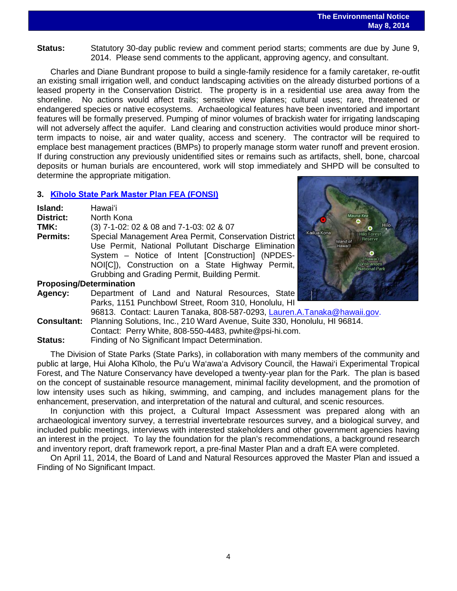**Status:** Statutory 30-day public review and comment period starts; comments are due by June 9, 2014. Please send comments to the applicant, approving agency, and consultant.

Charles and Diane Bundrant propose to build a single-family residence for a family caretaker, re-outfit an existing small irrigation well, and conduct landscaping activities on the already disturbed portions of a leased property in the Conservation District. The property is in a residential use area away from the shoreline. No actions would affect trails; sensitive view planes; cultural uses; rare, threatened or endangered species or native ecosystems. Archaeological features have been inventoried and important features will be formally preserved. Pumping of minor volumes of brackish water for irrigating landscaping will not adversely affect the aquifer. Land clearing and construction activities would produce minor shortterm impacts to noise, air and water quality, access and scenery. The contractor will be required to emplace best management practices (BMPs) to properly manage storm water runoff and prevent erosion. If during construction any previously unidentified sites or remains such as artifacts, shell, bone, charcoal deposits or human burials are encountered, work will stop immediately and SHPD will be consulted to determine the appropriate mitigation.

#### **3. [Kīholo State Park Master Plan](http://oeqc.doh.hawaii.gov/Shared%20Documents/EA_and_EIS_Online_Library/Hawaii/2010s/2014-05-08-HA-FEA-5B-Kiholo-State-Park-Master-Plan.pdf) FEA (FONSI)**

| Island:<br><b>District:</b>    | Hawai'i<br>North Kona                                 |  |  |
|--------------------------------|-------------------------------------------------------|--|--|
| TMK:                           | (3) 7-1-02: 02 & 08 and 7-1-03: 02 & 07               |  |  |
| <b>Permits:</b>                | Special Management Area Permit, Conservation District |  |  |
|                                | Use Permit, National Pollutant Discharge Elimination  |  |  |
|                                | System - Notice of Intent [Construction] (NPDES-      |  |  |
|                                | NOI[C]), Construction on a State Highway Permit,      |  |  |
|                                | Grubbing and Grading Permit, Building Permit.         |  |  |
| <b>Proposing/Determination</b> |                                                       |  |  |



#### **Proposing/Determination**

**Agency:** Department of Land and Natural Resources, State Parks, 1151 Punchbowl Street, Room 310, Honolulu, HI 96813. Contact: Lauren Tanaka, 808-587-0293, [Lauren.A.Tanaka@hawaii.gov.](mailto:Lauren.A.Tanaka@hawaii.gov) **Consultant:** Planning Solutions, Inc., 210 Ward Avenue, Suite 330, Honolulu, HI 96814. Contact: Perry White, 808-550-4483, pwhite@psi-hi.com. **Status:** Finding of No Significant Impact Determination.

The Division of State Parks (State Parks), in collaboration with many members of the community and public at large, Hui Aloha Kīholo, the Pu'u Wa'awa'a Advisory Council, the Hawai'i Experimental Tropical Forest, and The Nature Conservancy have developed a twenty-year plan for the Park. The plan is based on the concept of sustainable resource management, minimal facility development, and the promotion of low intensity uses such as hiking, swimming, and camping, and includes management plans for the enhancement, preservation, and interpretation of the natural and cultural, and scenic resources.

In conjunction with this project, a Cultural Impact Assessment was prepared along with an archaeological inventory survey, a terrestrial invertebrate resources survey, and a biological survey, and included public meetings, interviews with interested stakeholders and other government agencies having an interest in the project. To lay the foundation for the plan's recommendations, a background research and inventory report, draft framework report, a pre-final Master Plan and a draft EA were completed.

On April 11, 2014, the Board of Land and Natural Resources approved the Master Plan and issued a Finding of No Significant Impact.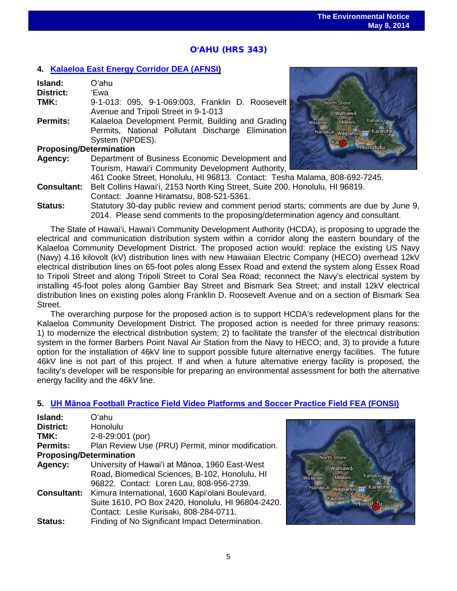## O**'**AHU (HRS 343)

#### **4. [Kalaeloa East Energy Corridor DEA \(AFNSI\)](http://oeqc.doh.hawaii.gov/Shared%20Documents/EA_and_EIS_Online_Library/Oahu/2010s/2014-05-08-OA-DEA-5B-Kalaeloa-East-Energy-Corridor.pdf)**

| Island:                        | O'ahu                                             |  |  |  |
|--------------------------------|---------------------------------------------------|--|--|--|
| <b>District:</b>               | 'Ewa                                              |  |  |  |
| TMK:                           | 9-1-013: 095, 9-1-069:003, Franklin D. Roosevelt  |  |  |  |
|                                | Avenue and Tripoli Street in 9-1-013              |  |  |  |
| <b>Permits:</b>                | Kalaeloa Development Permit, Building and Grading |  |  |  |
|                                | Permits, National Pollutant Discharge Elimination |  |  |  |
|                                | System (NPDES).                                   |  |  |  |
| <b>Proposing/Determination</b> |                                                   |  |  |  |
| Agency:                        | Department of Business Economic Development and   |  |  |  |

Tourism, Hawai'i Community Development Authority,



461 Cooke Street, Honolulu, HI 96813. Contact: Tesha Malama, 808-692-7245. **Consultant:** Belt Collins Hawai'i, 2153 North King Street, Suite 200, Honolulu, HI 96819.

- Contact: Joanne Hiramatsu, 808-521-5361.
- **Status:** Statutory 30-day public review and comment period starts; comments are due by June 9, 2014. Please send comments to the proposing/determination agency and consultant.

The State of Hawai'i, Hawai'i Community Development Authority (HCDA), is proposing to upgrade the electrical and communication distribution system within a corridor along the eastern boundary of the Kalaeloa Community Development District. The proposed action would: replace the existing US Navy (Navy) 4.16 kilovolt (kV) distribution lines with new Hawaiian Electric Company (HECO) overhead 12kV electrical distribution lines on 65-foot poles along Essex Road and extend the system along Essex Road to Tripoli Street and along Tripoli Street to Coral Sea Road; reconnect the Navy's electrical system by installing 45-foot poles along Gambier Bay Street and Bismark Sea Street; and install 12kV electrical distribution lines on existing poles along Franklin D. Roosevelt Avenue and on a section of Bismark Sea Street.

The overarching purpose for the proposed action is to support HCDA's redevelopment plans for the Kalaeloa Community Development District. The proposed action is needed for three primary reasons: 1) to modernize the electrical distribution system; 2) to facilitate the transfer of the electrical distribution system in the former Barbers Point Naval Air Station from the Navy to HECO; and, 3) to provide a future option for the installation of 46kV line to support possible future alternative energy facilities. The future 46kV line is not part of this project. If and when a future alternative energy facility is proposed, the facility's developer will be responsible for preparing an environmental assessment for both the alternative energy facility and the 46kV line.

#### **5. [UH Mānoa Football Practice Field Video Platforms and Soccer Practice Field](http://oeqc.doh.hawaii.gov/Shared%20Documents/EA_and_EIS_Online_Library/Oahu/2010s/2014-05-08-OA-FEA-5B-UH-Manoa-Football-Practice-Field-Video-Platforms-and-Soccer-Practice-Field.pdf) FEA (FONSI)**

| Island:                        | Oʻahu                                             |
|--------------------------------|---------------------------------------------------|
| <b>District:</b>               | Honolulu                                          |
| TMK:                           | 2-8-29:001 (por)                                  |
| <b>Permits:</b>                | Plan Review Use (PRU) Permit, minor modification. |
| <b>Proposing/Determination</b> |                                                   |
| Agency:                        | University of Hawai'i at Mānoa, 1960 East-West    |
|                                | Road, Biomedical Sciences, B-102, Honolulu, HI    |
|                                | 96822. Contact: Loren Lau, 808-956-2739.          |
| <b>Consultant:</b>             | Kimura International, 1600 Kapi'olani Boulevard,  |
|                                | Suite 1610, PO Box 2420, Honolulu, HI 96804-2420. |
|                                | Contact: Leslie Kurisaki, 808-284-0711.           |
| <b>Status:</b>                 | Finding of No Significant Impact Determination.   |

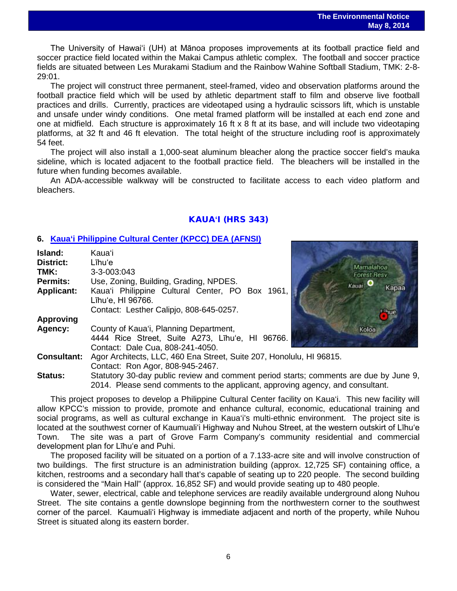The University of Hawai'i (UH) at Mānoa proposes improvements at its football practice field and soccer practice field located within the Makai Campus athletic complex. The football and soccer practice fields are situated between Les Murakami Stadium and the Rainbow Wahine Softball Stadium, TMK: 2-8- 29:01.

The project will construct three permanent, steel-framed, video and observation platforms around the football practice field which will be used by athletic department staff to film and observe live football practices and drills. Currently, practices are videotaped using a hydraulic scissors lift, which is unstable and unsafe under windy conditions. One metal framed platform will be installed at each end zone and one at midfield. Each structure is approximately 16 ft x 8 ft at its base, and will include two videotaping platforms, at 32 ft and 46 ft elevation. The total height of the structure including roof is approximately 54 feet.

The project will also install a 1,000-seat aluminum bleacher along the practice soccer field's mauka sideline, which is located adjacent to the football practice field. The bleachers will be installed in the future when funding becomes available.

An ADA-accessible walkway will be constructed to facilitate access to each video platform and bleachers.

## KAUA**'**I (HRS 343)

#### **6. [Kaua'i Philippine Cultural Center](http://oeqc.doh.hawaii.gov/Shared%20Documents/EA_and_EIS_Online_Library/Kauai/2010s/2014-05-08-KA-DEA-5E-Kauai-Phillippine-Cultural-Center.pdf) (KPCC) DEA (AFNSI)**

| Island:            | Kauaʻi                                                                                |  |             |  |
|--------------------|---------------------------------------------------------------------------------------|--|-------------|--|
| <b>District:</b>   | Līhu'e                                                                                |  | Mamalahoa   |  |
| TMK:               | $3 - 3 - 003:043$                                                                     |  | Forest Resv |  |
| <b>Permits:</b>    | Use, Zoning, Building, Grading, NPDES.                                                |  | Kauai O     |  |
| <b>Applicant:</b>  | Kaua'i Philippine Cultural Center, PO Box 1961,                                       |  | Kapaa       |  |
|                    | Līhu'e, HI 96766.                                                                     |  |             |  |
|                    | Contact: Lesther Calipjo, 808-645-0257.                                               |  |             |  |
| <b>Approving</b>   |                                                                                       |  |             |  |
| Agency:            | County of Kaua'i, Planning Department,                                                |  | Koloa       |  |
|                    | 4444 Rice Street, Suite A273, Līhu'e, HI 96766.                                       |  |             |  |
|                    | Contact: Dale Cua, 808-241-4050.                                                      |  |             |  |
| <b>Consultant:</b> | Agor Architects, LLC, 460 Ena Street, Suite 207, Honolulu, HI 96815.                  |  |             |  |
|                    | Contact: Ron Agor, 808-945-2467.                                                      |  |             |  |
| <b>Status:</b>     | Statutory 30-day public review and comment period starts; comments are due by June 9, |  |             |  |
|                    | 2014. Please send comments to the applicant, approving agency, and consultant.        |  |             |  |



This project proposes to develop a Philippine Cultural Center facility on Kaua'i. This new facility will allow KPCC's mission to provide, promote and enhance cultural, economic, educational training and social programs, as well as cultural exchange in Kaua'i's multi-ethnic environment. The project site is located at the southwest corner of Kaumualiʻi Highway and Nuhou Street, at the western outskirt of Līhu'e Town. The site was a part of Grove Farm Company's community residential and commercial development plan for Līhu'e and Puhi.

The proposed facility will be situated on a portion of a 7.133-acre site and will involve construction of two buildings. The first structure is an administration building (approx. 12,725 SF) containing office, a kitchen, restrooms and a secondary hall that's capable of seating up to 220 people. The second building is considered the "Main Hall" (approx. 16,852 SF) and would provide seating up to 480 people.

Water, sewer, electrical, cable and telephone services are readily available underground along Nuhou Street. The site contains a gentle downslope beginning from the northwestern corner to the southwest corner of the parcel. Kaumualiʻi Highway is immediate adjacent and north of the property, while Nuhou Street is situated along its eastern border.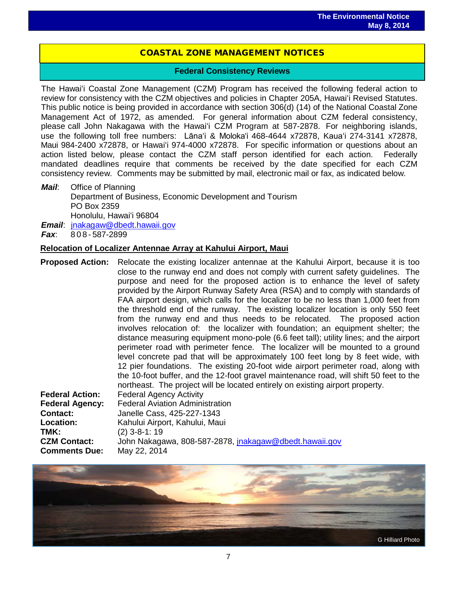## COASTAL ZONE MANAGEMENT NOTICES

 $\overline{a}$ 

#### **Federal Consistency Reviews**

The Hawaiʻi Coastal Zone Management (CZM) Program has received the following federal action to review for consistency with the CZM objectives and policies in Chapter 205A, Hawaiʻi Revised Statutes. This public notice is being provided in accordance with section 306(d) (14) of the National Coastal Zone Management Act of 1972, as amended. For general information about CZM federal consistency, please call John Nakagawa with the Hawaiʻi CZM Program at 587-2878. For neighboring islands, use the following toll free numbers: Lānaʻi & Molokaʻi 468-4644 x72878, Kauaʻi 274-3141 x72878, Maui 984-2400 x72878, or Hawaiʻi 974-4000 x72878. For specific information or questions about an action listed below, please contact the CZM staff person identified for each action. Federally mandated deadlines require that comments be received by the date specified for each CZM consistency review. Comments may be submitted by mail, electronic mail or fax, as indicated below.

*Mail*: Office of Planning Department of Business, Economic Development and Tourism PO Box 2359 Honolulu, Hawaiʻi 96804 *Email*: [jnakagaw@dbedt.hawaii.gov](mailto:jnakagaw@dbedt.hawaii.gov)

*Fax*: 808 - 587-2899

**Comments Due:** May 22, 2014

#### **Relocation of Localizer Antennae Array at Kahului Airport, Maui**

**Proposed Action:** Relocate the existing localizer antennae at the Kahului Airport, because it is too close to the runway end and does not comply with current safety guidelines. The purpose and need for the proposed action is to enhance the level of safety provided by the Airport Runway Safety Area (RSA) and to comply with standards of FAA airport design, which calls for the localizer to be no less than 1,000 feet from the threshold end of the runway. The existing localizer location is only 550 feet from the runway end and thus needs to be relocated. The proposed action involves relocation of: the localizer with foundation; an equipment shelter; the distance measuring equipment mono-pole (6.6 feet tall); utility lines; and the airport perimeter road with perimeter fence. The localizer will be mounted to a ground level concrete pad that will be approximately 100 feet long by 8 feet wide, with 12 pier foundations. The existing 20-foot wide airport perimeter road, along with the 10-foot buffer, and the 12-foot gravel maintenance road, will shift 50 feet to the northeast. The project will be located entirely on existing airport property. **Federal Action:** Federal Agency Activity **Federal Agency:** Federal Aviation Administration<br>Contact: Janelle Cass. 425-227-1343 **Contact:** Janelle Cass, 425-227-1343<br> **Location:** Kahului Airport, Kahului, Mau **Location:** Kahului Airport, Kahului, Maui<br>**TMK:** (2) 3-8-1: 19 **TMK:** (2) 3-8-1: 19 **CZM Contact:** John Nakagawa, 808-587-2878, [jnakagaw@dbedt.hawaii.gov](mailto:jnakagaw@dbedt.hawaii.gov)

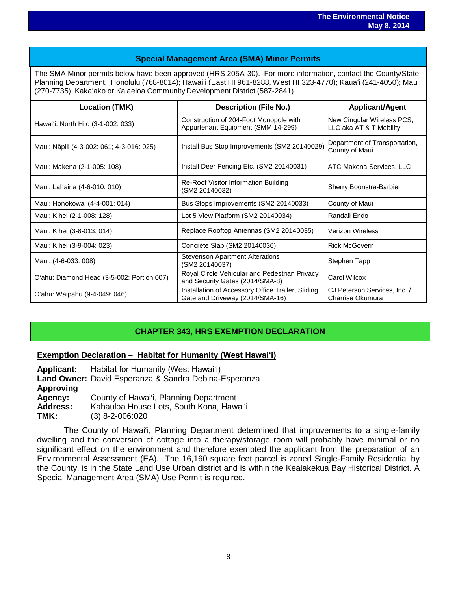## **Special Management Area (SMA) Minor Permits**

The SMA Minor permits below have been approved (HRS 205A-30). For more information, contact the County/State Planning Department. Honolulu (768-8014); Hawaiʻi (East HI 961-8288, West HI 323-4770); Kauaʻi (241-4050); Maui (270-7735); Kakaʻako or Kalaeloa Community Development District (587-2841).

| <b>Location (TMK)</b>                      | <b>Description (File No.)</b>                                                        | <b>Applicant/Agent</b>                                |
|--------------------------------------------|--------------------------------------------------------------------------------------|-------------------------------------------------------|
| Hawai'i: North Hilo (3-1-002: 033)         | Construction of 204-Foot Monopole with<br>Appurtenant Equipment (SMM 14-299)         | New Cingular Wireless PCS,<br>LLC aka AT & T Mobility |
| Maui: Nāpili (4-3-002: 061; 4-3-016: 025)  | Install Bus Stop Improvements (SM2 20140029)                                         | Department of Transportation,<br>County of Maui       |
| Maui: Makena (2-1-005: 108)                | Install Deer Fencing Etc. (SM2 20140031)                                             | ATC Makena Services, LLC                              |
| Maui: Lahaina (4-6-010: 010)               | Re-Roof Visitor Information Building<br>(SM2 20140032)                               | Sherry Boonstra-Barbier                               |
| Maui: Honokowai (4-4-001: 014)             | Bus Stops Improvements (SM2 20140033)                                                | County of Maui                                        |
| Maui: Kihei (2-1-008: 128)                 | Lot 5 View Platform (SM2 20140034)                                                   | Randall Endo                                          |
| Maui: Kihei (3-8-013: 014)                 | Replace Rooftop Antennas (SM2 20140035)                                              | <b>Verizon Wireless</b>                               |
| Maui: Kihei (3-9-004: 023)                 | Concrete Slab (SM2 20140036)                                                         | <b>Rick McGovern</b>                                  |
| Maui: (4-6-033: 008)                       | <b>Stevenson Apartment Alterations</b><br>(SM2 20140037)                             | Stephen Tapp                                          |
| O'ahu: Diamond Head (3-5-002: Portion 007) | Royal Circle Vehicular and Pedestrian Privacy<br>and Security Gates (2014/SMA-8)     | Carol Wilcox                                          |
| O'ahu: Waipahu (9-4-049: 046)              | Installation of Accessory Office Trailer, Sliding<br>Gate and Driveway (2014/SMA-16) | CJ Peterson Services, Inc. /<br>Charrise Okumura      |

## **CHAPTER 343, HRS EXEMPTION DECLARATION**

#### **Exemption Declaration – Habitat for Humanity (West Hawaiʻi)**

**Applicant:** Habitat for Humanity (West Hawaiʻi) **Land Owner:** David Esperanza & Sandra Debina-Esperanza **Approving** Agency: County of Hawai'i, Planning Department<br>**Address:** Kahauloa House Lots. South Kona. Hawa Address: Kahauloa House Lots, South Kona, Hawaiʻi<br>**TMK:** (3) 8-2-006:020 **TMK:** (3) 8-2-006:020

The County of Hawai'i, Planning Department determined that improvements to a single-family dwelling and the conversion of cottage into a therapy/storage room will probably have minimal or no significant effect on the environment and therefore exempted the applicant from the preparation of an Environmental Assessment (EA). The 16,160 square feet parcel is zoned Single-Family Residential by the County, is in the State Land Use Urban district and is within the Kealakekua Bay Historical District. A Special Management Area (SMA) Use Permit is required.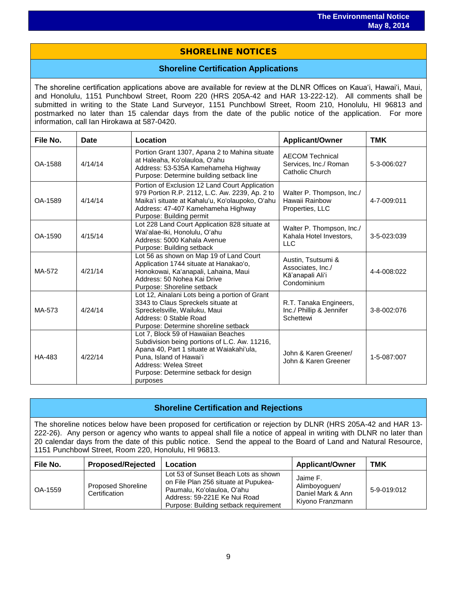## SHORELINE NOTICES

#### **Shoreline Certification Applications**

The shoreline certification applications above are available for review at the DLNR Offices on Kauaʻi, Hawaiʻi, Maui, and Honolulu, 1151 Punchbowl Street, Room 220 (HRS 205A-42 and HAR 13-222-12). All comments shall be submitted in writing to the State Land Surveyor, 1151 Punchbowl Street, Room 210, Honolulu, HI 96813 and postmarked no later than 15 calendar days from the date of the public notice of the application. For more information, call Ian Hirokawa at 587-0420.

| File No. | <b>Date</b> | Location                                                                                                                                                                                                                                   | <b>Applicant/Owner</b>                                                     | <b>TMK</b>  |
|----------|-------------|--------------------------------------------------------------------------------------------------------------------------------------------------------------------------------------------------------------------------------------------|----------------------------------------------------------------------------|-------------|
| OA-1588  | 4/14/14     | Portion Grant 1307, Apana 2 to Mahina situate<br>at Haleaha, Ko'olauloa, O'ahu<br>Address: 53-535A Kamehameha Highway<br>Purpose: Determine building setback line                                                                          | <b>AECOM Technical</b><br>Services, Inc./ Roman<br>Catholic Church         | 5-3-006:027 |
| OA-1589  | 4/14/14     | Portion of Exclusion 12 Land Court Application<br>979 Portion R.P. 2112, L.C. Aw. 2239, Ap. 2 to<br>Maika'i situate at Kahalu'u, Ko'olaupoko, O'ahu<br>Address: 47-407 Kamehameha Highway<br>Purpose: Building permit                      | Walter P. Thompson, Inc./<br>Hawaii Rainbow<br>Properties, LLC             | 4-7-009:011 |
| OA-1590  | 4/15/14     | Lot 228 Land Court Application 828 situate at<br>Wai'alae-Iki, Honolulu, O'ahu<br>Address: 5000 Kahala Avenue<br>Purpose: Building setback                                                                                                 | Walter P. Thompson, Inc./<br>Kahala Hotel Investors,<br><b>LLC</b>         | 3-5-023:039 |
| MA-572   | 4/21/14     | Lot 56 as shown on Map 19 of Land Court<br>Application 1744 situate at Hanakao'o,<br>Honokowai, Ka'anapali, Lahaina, Maui<br>Address: 50 Nohea Kai Drive<br>Purpose: Shoreline setback                                                     | Austin, Tsutsumi &<br>Associates, Inc./<br>Kā'anapali Ali'i<br>Condominium | 4-4-008:022 |
| MA-573   | 4/24/14     | Lot 12, Ainalani Lots being a portion of Grant<br>3343 to Claus Spreckels situate at<br>Spreckelsville, Wailuku, Maui<br>Address: 0 Stable Road<br>Purpose: Determine shoreline setback                                                    | R.T. Tanaka Engineers,<br>Inc./ Phillip & Jennifer<br>Schettewi            | 3-8-002:076 |
| HA-483   | 4/22/14     | Lot 7, Block 59 of Hawaiian Beaches<br>Subdivision being portions of L.C. Aw. 11216,<br>Apana 40, Part 1 situate at Waiakahi'ula,<br>Puna, Island of Hawai'i<br>Address: Welea Street<br>Purpose: Determine setback for design<br>purposes | John & Karen Greener/<br>John & Karen Greener                              | 1-5-087:007 |

## **Shoreline Certification and Rejections**

The shoreline notices below have been proposed for certification or rejection by DLNR (HRS 205A-42 and HAR 13- 222-26). Any person or agency who wants to appeal shall file a notice of appeal in writing with DLNR no later than 20 calendar days from the date of this public notice. Send the appeal to the Board of Land and Natural Resource, 1151 Punchbowl Street, Room 220, Honolulu, HI 96813.

| File No. | <b>Proposed/Rejected</b>                   | Location                                                                                                                                                                            | <b>Applicant/Owner</b>                                             | <b>TMK</b>  |
|----------|--------------------------------------------|-------------------------------------------------------------------------------------------------------------------------------------------------------------------------------------|--------------------------------------------------------------------|-------------|
| OA-1559  | <b>Proposed Shoreline</b><br>Certification | Lot 53 of Sunset Beach Lots as shown<br>on File Plan 256 situate at Pupukea-<br>Paumalu, Koʻolauloa, Oʻahu<br>Address: 59-221E Ke Nui Road<br>Purpose: Building setback requirement | Jaime F.<br>Alimboyoguen/<br>Daniel Mark & Ann<br>Kiyono Franzmann | 5-9-019:012 |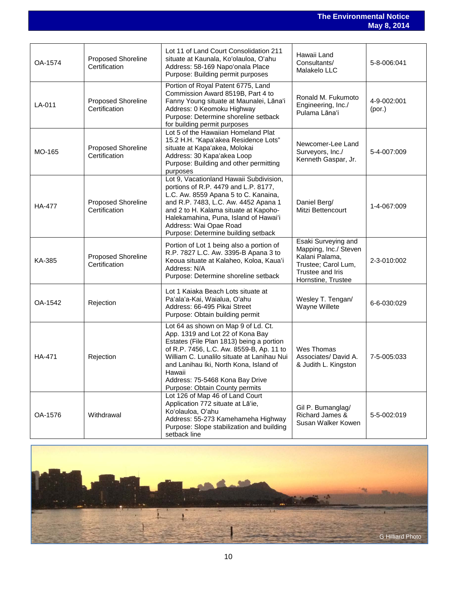**The Environmental Notice May 8, 2014**

| OA-1574       | <b>Proposed Shoreline</b><br>Certification | Lot 11 of Land Court Consolidation 211<br>situate at Kaunala, Ko'olauloa, O'ahu<br>Address: 58-169 Napo'onala Place<br>Purpose: Building permit purposes                                                                                                                                                                               | Hawaii Land<br>Consultants/<br>Malakelo LLC                                                                                     | 5-8-006:041           |
|---------------|--------------------------------------------|----------------------------------------------------------------------------------------------------------------------------------------------------------------------------------------------------------------------------------------------------------------------------------------------------------------------------------------|---------------------------------------------------------------------------------------------------------------------------------|-----------------------|
| LA-011        | Proposed Shoreline<br>Certification        | Portion of Royal Patent 6775, Land<br>Commission Award 8519B, Part 4 to<br>Fanny Young situate at Maunalei, Lāna'i<br>Address: 0 Keomoku Highway<br>Purpose: Determine shoreline setback<br>for building permit purposes                                                                                                               | Ronald M. Fukumoto<br>Engineering, Inc./<br>Pulama Lāna'i                                                                       | 4-9-002:001<br>(por.) |
| MO-165        | <b>Proposed Shoreline</b><br>Certification | Lot 5 of the Hawaiian Homeland Plat<br>15.2 H.H. "Kapa'akea Residence Lots"<br>situate at Kapa'akea, Molokai<br>Address: 30 Kapa'akea Loop<br>Purpose: Building and other permitting<br>purposes                                                                                                                                       | Newcomer-Lee Land<br>Surveyors, Inc./<br>Kenneth Gaspar, Jr.                                                                    | 5-4-007:009           |
| <b>HA-477</b> | <b>Proposed Shoreline</b><br>Certification | Lot 9, Vacationland Hawaii Subdivision,<br>portions of R.P. 4479 and L.P. 8177,<br>L.C. Aw. 8559 Apana 5 to C. Kanaina,<br>and R.P. 7483, L.C. Aw. 4452 Apana 1<br>and 2 to H. Kalama situate at Kapoho-<br>Halekamahina, Puna, Island of Hawai'i<br>Address: Wai Opae Road<br>Purpose: Determine building setback                     | Daniel Berg/<br>Mitzi Bettencourt                                                                                               | 1-4-067:009           |
| KA-385        | <b>Proposed Shoreline</b><br>Certification | Portion of Lot 1 being also a portion of<br>R.P. 7827 L.C. Aw. 3395-B Apana 3 to<br>Keoua situate at Kalaheo, Koloa, Kaua'i<br>Address: N/A<br>Purpose: Determine shoreline setback                                                                                                                                                    | Esaki Surveying and<br>Mapping, Inc./ Steven<br>Kalani Palama,<br>Trustee; Carol Lum,<br>Trustee and Iris<br>Hornstine, Trustee | 2-3-010:002           |
| OA-1542       | Rejection                                  | Lot 1 Kaiaka Beach Lots situate at<br>Pa'ala'a-Kai, Waialua, O'ahu<br>Address: 66-495 Pikai Street<br>Purpose: Obtain building permit                                                                                                                                                                                                  | Wesley T. Tengan/<br>Wayne Willete                                                                                              | 6-6-030:029           |
| HA-471        | Rejection                                  | Lot 64 as shown on Map 9 of Ld. Ct.<br>App. 1319 and Lot 22 of Kona Bay<br>Estates (File Plan 1813) being a portion<br>of R.P. 7456, L.C. Aw. 8559-B, Ap. 11 to<br>William C. Lunalilo situate at Lanihau Nui<br>and Lanihau Iki, North Kona, Island of<br>Hawaii<br>Address: 75-5468 Kona Bay Drive<br>Purpose: Obtain County permits | Wes Thomas<br>Associates/David A.<br>& Judith L. Kingston                                                                       | 7-5-005:033           |
| OA-1576       | Withdrawal                                 | Lot 126 of Map 46 of Land Court<br>Application 772 situate at Lā'ie,<br>Ko'olauloa, O'ahu<br>Address: 55-273 Kamehameha Highway<br>Purpose: Slope stabilization and building<br>setback line                                                                                                                                           | Gil P. Bumanglag/<br>Richard James &<br>Susan Walker Kowen                                                                      | 5-5-002:019           |

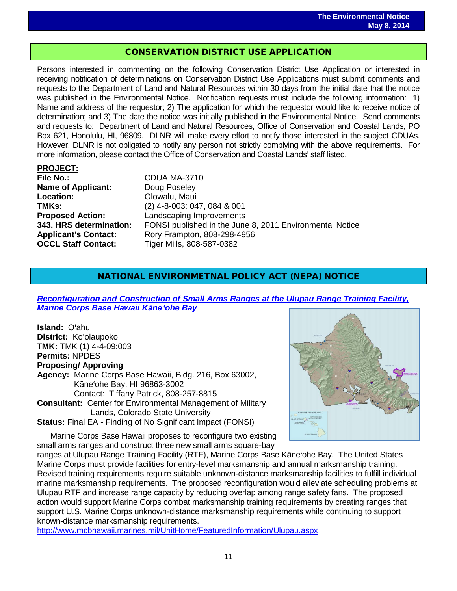## CONSERVATION DISTRICT USE APPLICATION

Persons interested in commenting on the following Conservation District Use Application or interested in receiving notification of determinations on Conservation District Use Applications must submit comments and requests to the Department of Land and Natural Resources within 30 days from the initial date that the notice was published in the Environmental Notice. Notification requests must include the following information: 1) Name and address of the requestor; 2) The application for which the requestor would like to receive notice of determination; and 3) The date the notice was initially published in the Environmental Notice. Send comments and requests to: Department of Land and Natural Resources, Office of Conservation and Coastal Lands, PO Box 621, Honolulu, HI, 96809. DLNR will make every effort to notify those interested in the subject CDUAs. However, DLNR is not obligated to notify any person not strictly complying with the above requirements. For more information, please contact the Office of Conservation and Coastal Lands' staff listed.

#### **PROJECT:**

**File No.:** CDUA MA-3710 **Name of Applicant:** Doug Poseley<br> **Location:** Olowalu. Maui **Location:** Olowalu, Maui<br> **TMKs:** (2) 4-8-003: 04 **OCCL Staff Contact:** Tiger Mills, 808-587-0382

**TMKs:** (2) 4-8-003: 047, 084 & 001<br>**Proposed Action:** Landscaping Improvements **Landscaping Improvements 343, HRS determination:** FONSI published in the June 8, 2011 Environmental Notice **Applicant's Contact:** Rory Frampton, 808-298-4956

## NATIONAL ENVIRONMETNAL POLICY ACT (NEPA) NOTICE

*[Reconfiguration and Construction of Small Arms Ranges at the Ulupau Range Training Facility,](http://www.mcbhawaii.marines.mil/Portals/114/WebDocuments/Ulupau/Ulupau_RTF_Reconfiguration_FEA_and_FONSI.pdf)  [Marine Corps Base Hawaii K](http://www.mcbhawaii.marines.mil/Portals/114/WebDocuments/Ulupau/Ulupau_RTF_Reconfiguration_FEA_and_FONSI.pdf)āne*'*ohe Bay*

**Island:** O'ahu **District:** Koʻolaupoko **TMK:** TMK (1) 4-4-09:003 **Permits:** NPDES **Proposing/ Approving Agency:** Marine Corps Base Hawaii, Bldg. 216, Box 63002, Kāne'ohe Bay, HI 96863-3002 Contact: Tiffany Patrick, 808-257-8815 **Consultant:** Center for Environmental Management of Military Lands, Colorado State University **Status:** Final EA - Finding of No Significant Impact (FONSI)

Marine Corps Base Hawaii proposes to reconfigure two existing small arms ranges and construct three new small arms square-bay



ranges at Ulupau Range Training Facility (RTF), Marine Corps Base Kāne'ohe Bay. The United States Marine Corps must provide facilities for entry-level marksmanship and annual marksmanship training. Revised training requirements require suitable unknown-distance marksmanship facilities to fulfill individual marine marksmanship requirements. The proposed reconfiguration would alleviate scheduling problems at Ulupau RTF and increase range capacity by reducing overlap among range safety fans. The proposed action would support Marine Corps combat marksmanship training requirements by creating ranges that support U.S. Marine Corps unknown-distance marksmanship requirements while continuing to support known-distance marksmanship requirements.

<http://www.mcbhawaii.marines.mil/UnitHome/FeaturedInformation/Ulupau.aspx>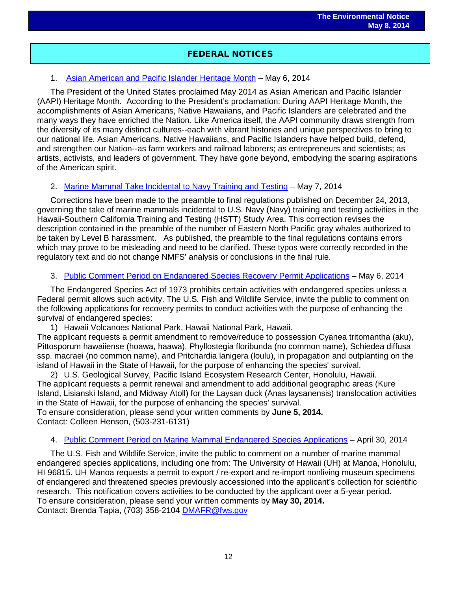## FEDERAL NOTICES

## 1. [Asian American and Pacific Islander Heritage Month](http://www.gpo.gov/fdsys/pkg/FR-2014-05-06/pdf/2014-10446.pdf) – May 6, 2014

The President of the United States proclaimed May 2014 as Asian American and Pacific Islander (AAPI) Heritage Month. According to the President's proclamation: During AAPI Heritage Month, the accomplishments of Asian Americans, Native Hawaiians, and Pacific Islanders are celebrated and the many ways they have enriched the Nation. Like America itself, the AAPI community draws strength from the diversity of its many distinct cultures--each with vibrant histories and unique perspectives to bring to our national life. Asian Americans, Native Hawaiians, and Pacific Islanders have helped build, defend, and strengthen our Nation--as farm workers and railroad laborers; as entrepreneurs and scientists; as artists, activists, and leaders of government. They have gone beyond, embodying the soaring aspirations of the American spirit.

## 2. [Marine Mammal Take Incidental to Navy Training and Testing](http://www.gpo.gov/fdsys/pkg/FR-2014-05-07/pdf/2014-10528.pdf) – May 7, 2014

Corrections have been made to the preamble to final regulations published on December 24, 2013, governing the take of marine mammals incidental to U.S. Navy (Navy) training and testing activities in the Hawaii-Southern California Training and Testing (HSTT) Study Area. This correction revises the description contained in the preamble of the number of Eastern North Pacific gray whales authorized to be taken by Level B harassment. As published, the preamble to the final regulations contains errors which may prove to be misleading and need to be clarified. These typos were correctly recorded in the regulatory text and do not change NMFS' analysis or conclusions in the final rule.

#### 3. [Public Comment Period on Endangered Species Recovery Permit Applications](http://www.gpo.gov/fdsys/pkg/FR-2014-05-06/pdf/2014-10310.pdf) – May 6, 2014

The Endangered Species Act of 1973 prohibits certain activities with endangered species unless a Federal permit allows such activity. The U.S. Fish and Wildlife Service, invite the public to comment on the following applications for recovery permits to conduct activities with the purpose of enhancing the survival of endangered species:

1) Hawaii Volcanoes National Park, Hawaii National Park, Hawaii.

The applicant requests a permit amendment to remove/reduce to possession Cyanea tritomantha (aku), Pittosporum hawaiiense (hoawa, haawa), Phyllostegia floribunda (no common name), Schiedea diffusa ssp. macraei (no common name), and Pritchardia lanigera (loulu), in propagation and outplanting on the island of Hawaii in the State of Hawaii, for the purpose of enhancing the species' survival.

2) U.S. Geological Survey, Pacific Island Ecosystem Research Center, Honolulu, Hawaii. The applicant requests a permit renewal and amendment to add additional geographic areas (Kure Island, Lisianski Island, and Midway Atoll) for the Laysan duck (Anas laysanensis) translocation activities in the State of Hawaii, for the purpose of enhancing the species' survival.

To ensure consideration, please send your written comments by **June 5, 2014.** Contact: Colleen Henson, (503-231-6131)

#### 4. [Public Comment Period on Marine Mammal Endangered Species Applications](http://www.gpo.gov/fdsys/pkg/FR-2014-04-30/pdf/2014-09828.pdf) – April 30, 2014

The U.S. Fish and Wildlife Service, invite the public to comment on a number of marine mammal endangered species applications, including one from: The University of Hawaii (UH) at Manoa, Honolulu, HI 96815. UH Manoa requests a permit to export / re-export and re-import nonliving museum specimens of endangered and threatened species previously accessioned into the applicant's collection for scientific research. This notification covers activities to be conducted by the applicant over a 5-year period. To ensure consideration, please send your written comments by **May 30, 2014.** Contact: Brenda Tapia, (703) 358-2104 [DMAFR@fws.gov](mailto:DMAFR@fws.gov)